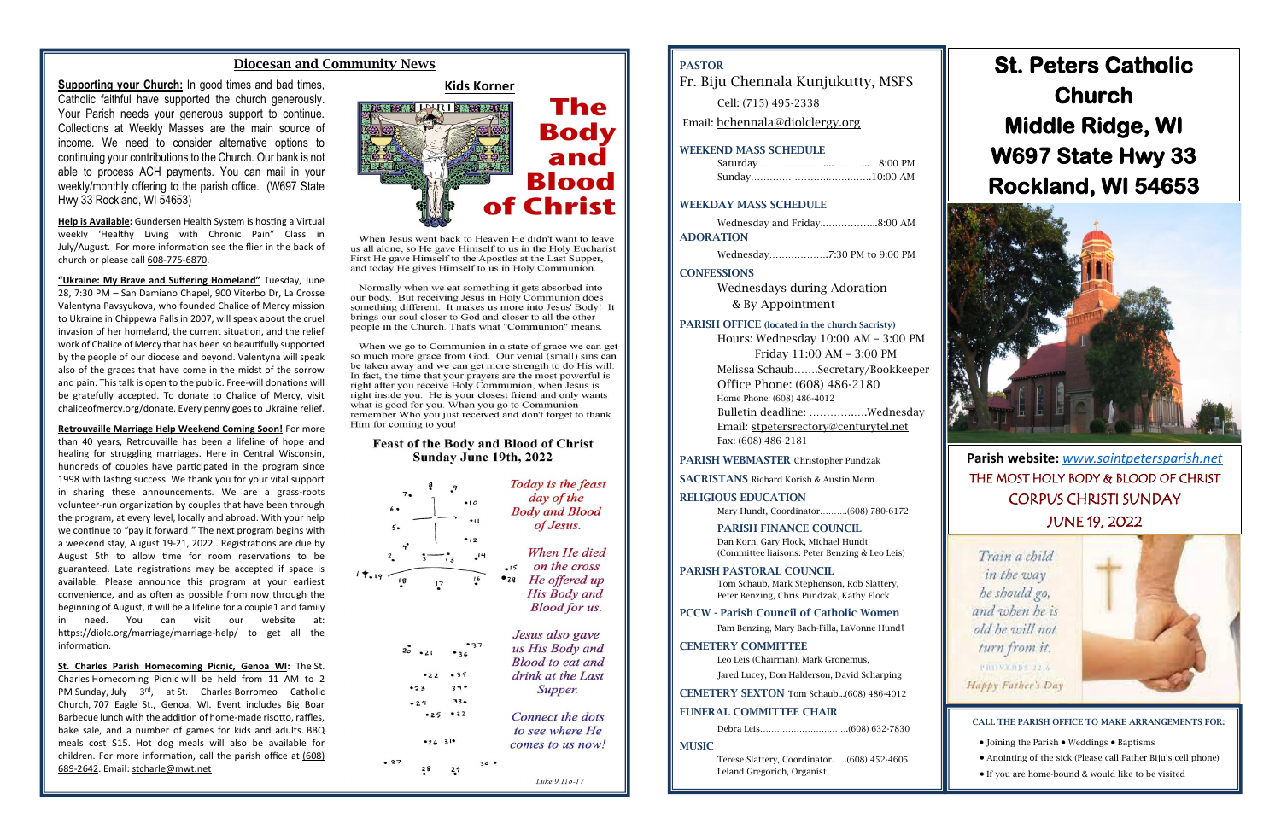### Diocesan and Community News

**Supporting your Church:** In good times and bad times, **Kids Korner** Catholic faithful have supported the church generously. Your Parish needs your generous support to continue. Collections at Weekly Masses are the main source of income. We need to consider alternative options to continuing your contributions to the Church. Our bank is not able to process ACH payments. You can mail in your weekly/monthly offering to the parish office. (W697 State Hwy 33 Rockland, WI 54653)

**Help is Available:** Gundersen Health System is hosting a Virtual weekly 'Healthy Living with Chronic Pain" Class in July/August. For more information see the flier in the back of church or please call [608-775-6870.](callto:608-775-6870)

**"Ukraine: My Brave and Suffering Homeland"** Tuesday, June 28, 7:30 PM – San Damiano Chapel, 900 Viterbo Dr, La Crosse Valentyna Pavsyukova, who founded Chalice of Mercy mission to Ukraine in Chippewa Falls in 2007, will speak about the cruel invasion of her homeland, the current situation, and the relief work of Chalice of Mercy that has been so beautifully supported by the people of our diocese and beyond. Valentyna will speak also of the graces that have come in the midst of the sorrow and pain. This talk is open to the public. Free-will donations will be gratefully accepted. To donate to Chalice of Mercy, visit chaliceofmercy.org/donate. Every penny goes to Ukraine relief.

**Retrouvaille Marriage Help Weekend Coming Soon!** For more than 40 years, Retrouvaille has been a lifeline of hope and healing for struggling marriages. Here in Central Wisconsin, hundreds of couples have participated in the program since 1998 with lasting success. We thank you for your vital support in sharing these announcements. We are a grass-roots volunteer-run organization by couples that have been through the program, at every level, locally and abroad. With your help we continue to "pay it forward!" The next program begins with a weekend stay, August 19-21, 2022.. Registrations are due by August 5th to allow time for room reservations to be guaranteed. Late registrations may be accepted if space is available. Please announce this program at your earliest convenience, and as often as possible from now through the beginning of August, it will be a lifeline for a couple1 and family in need. You can visit our website at: https://diolc.org/marriage/marriage-help/ to get all the information.

**St. Charles Parish Homecoming Picnic, Genoa WI:** The St. Charles Homecoming Picnic will be held from 11 AM to 2 PM Sunday, July 3<sup>rd</sup>, at St. Charles Borromeo Catholic Church, 707 Eagle St., Genoa, WI. Event includes Big Boar Barbecue lunch with the addition of home-made risotto, raffles, bake sale, and a number of games for kids and adults. BBQ meals cost \$15. Hot dog meals will also be available for children. For more information, call the parish office at [\(608\)](callto:(608)%20689-2642)  [689-2642.](callto:(608)%20689-2642) Email: [stcharle@mwt.net](mailto:stcharle@mwt.net)



When Jesus went back to Heaven He didn't want to leave us all alone, so He gave Himself to us in the Holy Eucharist. First He gave Himself to the Apostles at the Last Supper, and today He gives Himself to us in Holy Communion.

Normally when we eat something it gets absorbed into our body. But receiving Jesus in Holy Communion does something different. It makes us more into Jesus' Body! It brings our soul closer to God and closer to all the other people in the Church. That's what "Communion" means.

When we go to Communion in a state of grace we can get so much more grace from God. Our venial (small) sins can be taken away and we can get more strength to do His will. In fact, the time that your prayers are the most powerful is right after you receive Holy Communion, when Jesus is right inside you. He is your closest friend and only wants what is good for you. When you go to Communion remember Who you just received and don't forget to thank Him for coming to you!

### **Feast of the Body and Blood of Christ** Sunday June 19th, 2022

| 9<br>$\overline{0}$<br>$\ddot{\phantom{a}}$<br>$5 -$             | Today is the feast<br>day of the<br><b>Body and Blood</b><br>of Jesus.                                                    |
|------------------------------------------------------------------|---------------------------------------------------------------------------------------------------------------------------|
| 2<br>$\overline{\mathbf{z}}$<br>$\ddagger$ .19<br>16<br>18<br>17 | When He died<br>$\overline{14}$<br>on the cross<br>$-15$<br>He offered up<br>, 38<br>His Body and<br><b>Blood for us.</b> |
| $2\circ$<br>35<br>2.2                                            | Jesus also gave<br>us His Body and<br><b>Blood</b> to eat and<br>drink at the Last                                        |

Supper. Connect the dots

to see where He comes to us now!

Luke 9.11b-17

 $29$ 

 $34$ 

 $33<sub>o</sub>$ 

 $-25 - 32$ 

 $-26.31$ 

 $-24$ 

 $-27$ 

## PASTOR

Fr. Biju Chennala Kunjukutty, MSFS

Cell: (715) 495-2338

Email: [bchennala@diolclergy.org](mailto:bchennala@diolclergy.org)

### WEEKEND MASS SCHEDULE

### WEEKDAY MASS SCHEDULE

|                  | Wednesday and Friday8:00 AM |
|------------------|-----------------------------|
| <b>ADORATION</b> |                             |

Wednesday……………….7:30 PM to 9:00 PM

### **CONFESSIONS**

Wednesdays during Adoration & By Appointment

### PARISH OFFICE (located in the church Sacristy)

Hours: Wednesday 10:00 AM – 3:00 PM Friday 11:00 AM – 3:00 PM Melissa Schaub…….Secretary/Bookkeeper Office Phone: (608) 486-2180 Home Phone: (608) 486-4012 Bulletin deadline: ………….….Wednesday Email: [stpetersrectory@centurytel.net](mailto:stpetersrectory@centurytel.net) Fax: (608) 486-2181

### PARISH WEBMASTER Christopher Pundzak

SACRISTANS Richard Korish & Austin Menn

### RELIGIOUS EDUCATION

Mary Hundt, Coordinator……….(608) 780-6172

### PARISH FINANCE COUNCIL

Dan Korn, Gary Flock, Michael Hundt (Committee liaisons: Peter Benzing & Leo Leis)

### PARISH PASTORAL COUNCIL

Tom Schaub, Mark Stephenson, Rob Slattery, Peter Benzing, Chris Pundzak, Kathy Flock

### PCCW - Parish Council of Catholic Women

Pam Benzing, Mary Bach-Filla, LaVonne Hundt

### CEMETERY COMMITTEE

Leo Leis (Chairman), Mark Gronemus,

Jared Lucey, Don Halderson, David Scharping

CEMETERY SEXTON Tom Schaub...(608) 486-4012

### FUNERAL COMMITTEE CHAIR

**MUSIC** 

Terese Slattery, Coordinator.…..(608) 452-4605 Leland Gregorich, Organist

**Parish website:** *[www.saintpetersparish.net](http://www.saintpetersparish.net/)* THE MOST HOLY BODY & BLOOD OF CHRIST CORPUS CHRISTI SUNDAY JUNE 19, 2022



# **St. Peters Catholic Church Middle Ridge, WI W697 State Hwy 33 Rockland, WI 54653**



CALL THE PARISH OFFICE TO MAKE ARRANGEMENTS FOR:

- Joining the Parish Weddings Baptisms
- Anointing of the sick (Please call Father Biju's cell phone)
- If you are home-bound & would like to be visited